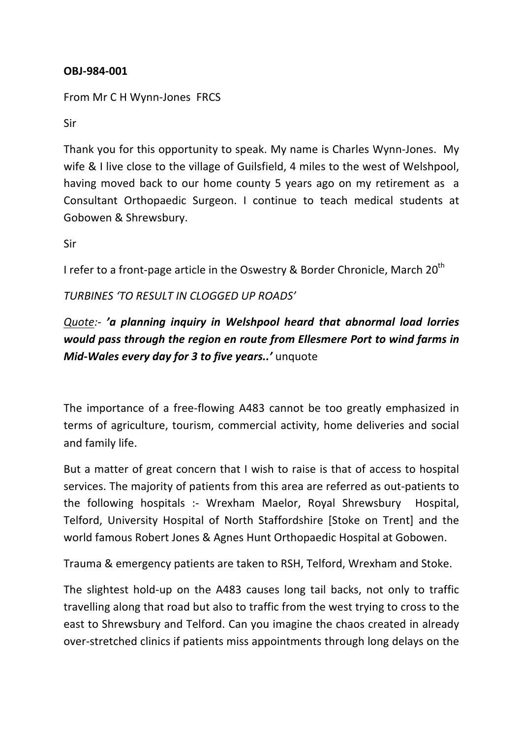## **OBJ-984-001**

From Mr C H Wynn-Jones FRCS

Sir

Thank you for this opportunity to speak. My name is Charles Wynn-Jones. My wife & I live close to the village of Guilsfield, 4 miles to the west of Welshpool, having moved back to our home county 5 years ago on my retirement as a Consultant Orthopaedic Surgeon. I continue to teach medical students at Gobowen & Shrewsbury.

Sir

I refer to a front-page article in the Oswestry & Border Chronicle, March  $20^{th}$ 

*TURBINES 'TO RESULT IN CLOGGED UP ROADS'*

## *Quote:- 'a planning inquiry in Welshpool heard that abnormal load lorries*  would pass through the region en route from Ellesmere Port to wind farms in *Mid-Wales every day for 3 to five years..'* unquote

The importance of a free-flowing A483 cannot be too greatly emphasized in terms of agriculture, tourism, commercial activity, home deliveries and social and family life.

But a matter of great concern that I wish to raise is that of access to hospital services. The majority of patients from this area are referred as out-patients to the following hospitals :- Wrexham Maelor, Royal Shrewsbury Hospital, Telford, University Hospital of North Staffordshire [Stoke on Trent] and the world famous Robert Jones & Agnes Hunt Orthopaedic Hospital at Gobowen.

Trauma & emergency patients are taken to RSH, Telford, Wrexham and Stoke.

The slightest hold-up on the A483 causes long tail backs, not only to traffic travelling along that road but also to traffic from the west trying to cross to the east to Shrewsbury and Telford. Can you imagine the chaos created in already over-stretched clinics if patients miss appointments through long delays on the